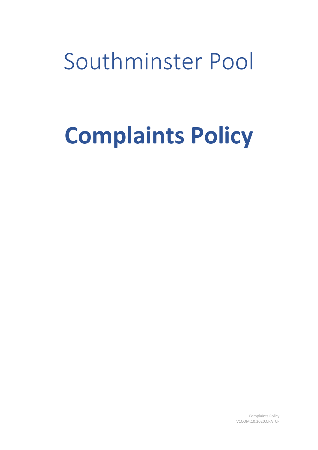Southminster Pool

# **Complaints Policy**

Complaints Policy V1COM.10.2020.CPATCP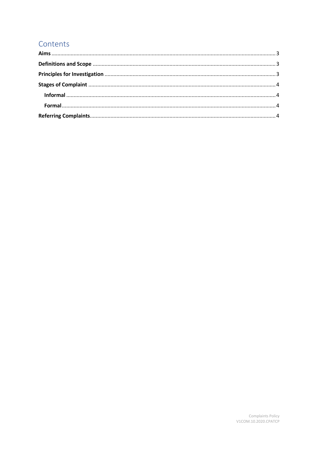## Contents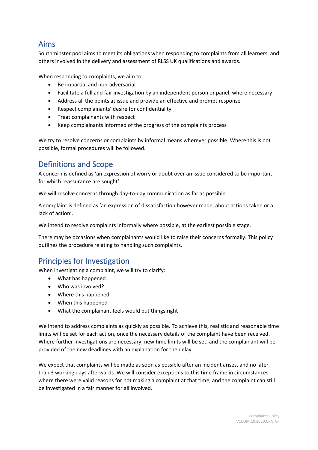#### <span id="page-2-0"></span>Aims

Southminster pool aims to meet its obligations when responding to complaints from all learners, and others involved in the delivery and assessment of RLSS UK qualifications and awards.

When responding to complaints, we aim to:

- Be impartial and non-adversarial
- Facilitate a full and fair investigation by an independent person or panel, where necessary
- Address all the points at issue and provide an effective and prompt response
- Respect complainants' desire for confidentiality
- Treat complainants with respect
- Keep complainants informed of the progress of the complaints process

We try to resolve concerns or complaints by informal means wherever possible. Where this is not possible, formal procedures will be followed.

### <span id="page-2-1"></span>Definitions and Scope

A concern is defined as 'an expression of worry or doubt over an issue considered to be important for which reassurance are sought'.

We will resolve concerns through day-to-day communication as far as possible.

A complaint is defined as 'an expression of dissatisfaction however made, about actions taken or a lack of action'.

We intend to resolve complaints informally where possible, at the earliest possible stage.

There may be occasions when complainants would like to raise their concerns formally. This policy outlines the procedure relating to handling such complaints.

#### <span id="page-2-2"></span>Principles for Investigation

When investigating a complaint, we will try to clarify:

- What has happened
- Who was involved?
- Where this happened
- When this happened
- What the complainant feels would put things right

We intend to address complaints as quickly as possible. To achieve this, realistic and reasonable time limits will be set for each action, once the necessary details of the complaint have been received. Where further investigations are necessary, new time limits will be set, and the complainant will be provided of the new deadlines with an explanation for the delay.

We expect that complaints will be made as soon as possible after an incident arises, and no later than 3 working days afterwards. We will consider exceptions to this time frame in circumstances where there were valid reasons for not making a complaint at that time, and the complaint can still be investigated in a fair manner for all involved.